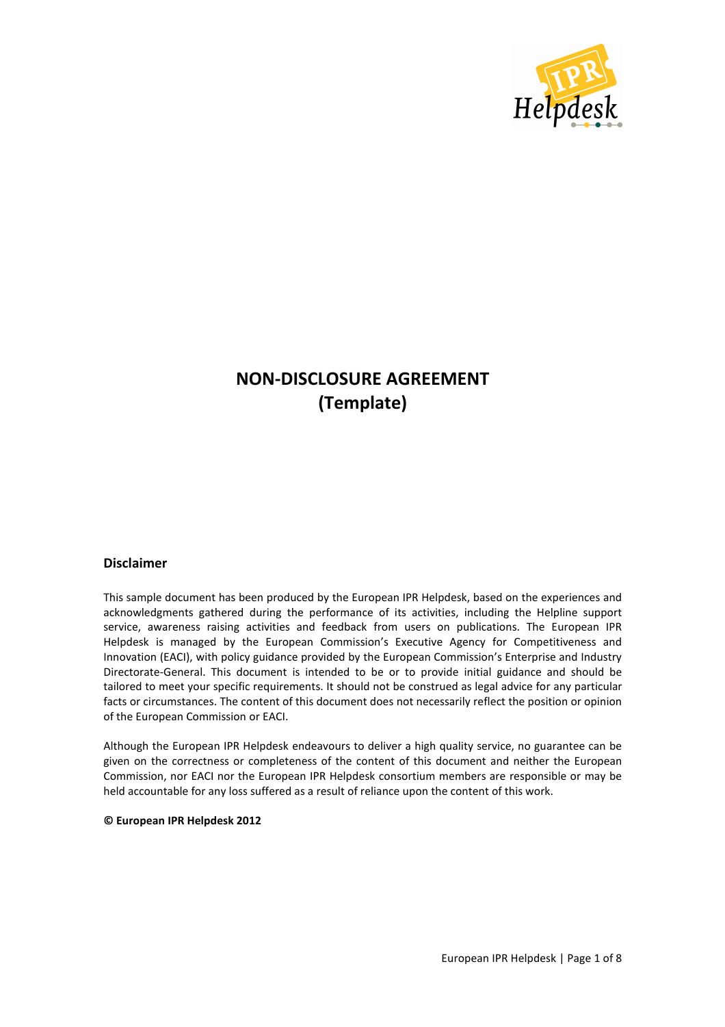

# **NON-DISCLOSURE AGREEMENT (Template)**

#### **Disclaimer**

This sample document has been produced by the European IPR Helpdesk, based on the experiences and acknowledgments gathered during the performance of its activities, including the Helpline support service, awareness raising activities and feedback from users on publications. The European IPR Helpdesk is managed by the European Commission's Executive Agency for Competitiveness and Innovation (EACI), with policy guidance provided by the European Commission's Enterprise and Industry Directorate-General. This document is intended to be or to provide initial guidance and should be tailored to meet your specific requirements. It should not be construed as legal advice for any particular facts or circumstances. The content of this document does not necessarily reflect the position or opinion of the European Commission or EACI.

Although the European IPR Helpdesk endeavours to deliver a high quality service, no guarantee can be given on the correctness or completeness of the content of this document and neither the European Commission, nor EACI nor the European IPR Helpdesk consortium members are responsible or may be held accountable for any loss suffered as a result of reliance upon the content of this work.

**© European IPR Helpdesk 2012**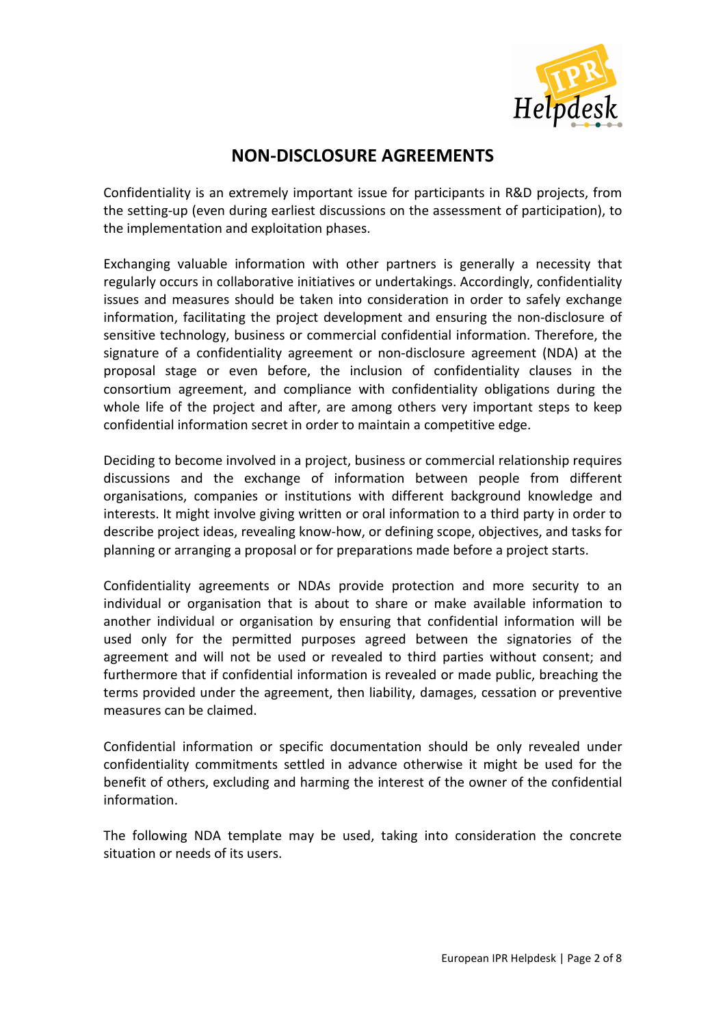

## **NON-DISCLOSURE AGREEMENTS**

Confidentiality is an extremely important issue for participants in R&D projects, from the setting-up (even during earliest discussions on the assessment of participation), to the implementation and exploitation phases.

Exchanging valuable information with other partners is generally a necessity that regularly occurs in collaborative initiatives or undertakings. Accordingly, confidentiality issues and measures should be taken into consideration in order to safely exchange information, facilitating the project development and ensuring the non-disclosure of sensitive technology, business or commercial confidential information. Therefore, the signature of a confidentiality agreement or non-disclosure agreement (NDA) at the proposal stage or even before, the inclusion of confidentiality clauses in the consortium agreement, and compliance with confidentiality obligations during the whole life of the project and after, are among others very important steps to keep confidential information secret in order to maintain a competitive edge.

Deciding to become involved in a project, business or commercial relationship requires discussions and the exchange of information between people from different organisations, companies or institutions with different background knowledge and interests. It might involve giving written or oral information to a third party in order to describe project ideas, revealing know-how, or defining scope, objectives, and tasks for planning or arranging a proposal or for preparations made before a project starts.

Confidentiality agreements or NDAs provide protection and more security to an individual or organisation that is about to share or make available information to another individual or organisation by ensuring that confidential information will be used only for the permitted purposes agreed between the signatories of the agreement and will not be used or revealed to third parties without consent; and furthermore that if confidential information is revealed or made public, breaching the terms provided under the agreement, then liability, damages, cessation or preventive measures can be claimed.

Confidential information or specific documentation should be only revealed under confidentiality commitments settled in advance otherwise it might be used for the benefit of others, excluding and harming the interest of the owner of the confidential information.

The following NDA template may be used, taking into consideration the concrete situation or needs of its users.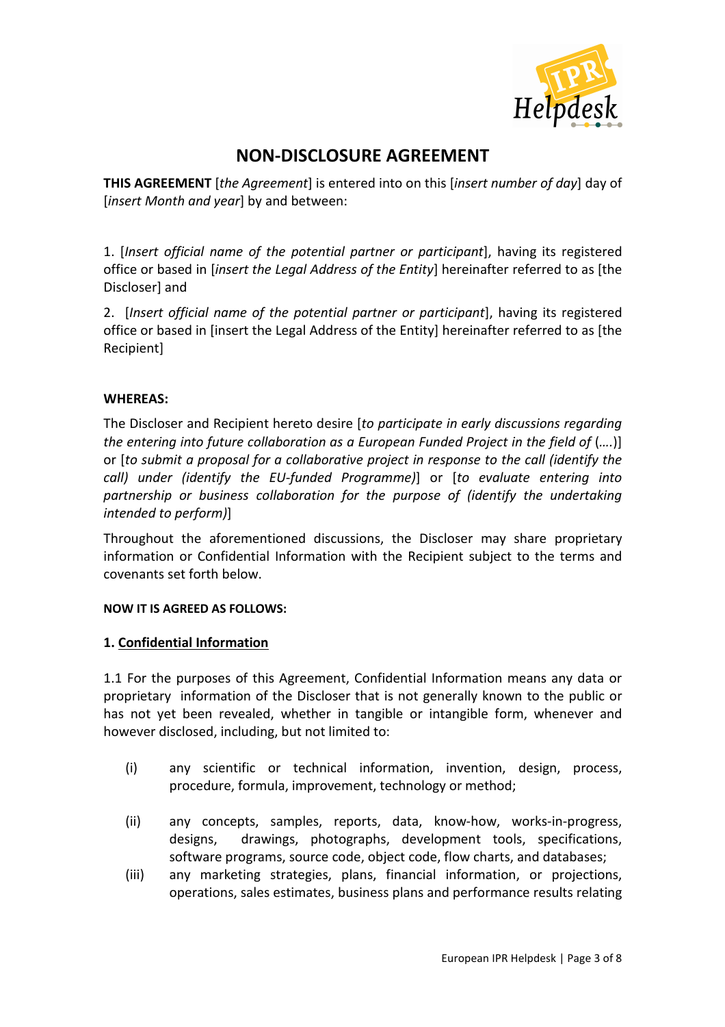

## **NON-DISCLOSURE AGREEMENT**

**THIS AGREEMENT** [*the Agreement*] is entered into on this [*insert number of day*] day of [*insert Month and year*] by and between:

1. [*Insert official name of the potential partner or participant*], having its registered office or based in [*insert the Legal Address of the Entity*] hereinafter referred to as [the Discloser] and

2. [*Insert official name of the potential partner or participant*], having its registered office or based in [insert the Legal Address of the Entity] hereinafter referred to as [the Recipient]

## **WHEREAS:**

The Discloser and Recipient hereto desire [*to participate in early discussions regarding the entering into future collaboration as a European Funded Project in the field of (....)*] or [*to submit a proposal for a collaborative project in response to the call (identify the call) under (identify the EU-funded Programme)*] or [*to evaluate entering into partnership or business collaboration for the purpose of (identify the undertaking intended to perform)*]

Throughout the aforementioned discussions, the Discloser may share proprietary information or Confidential Information with the Recipient subject to the terms and covenants set forth below.

#### **NOW IT IS AGREED AS FOLLOWS:**

## **1. Confidential Information**

1.1 For the purposes of this Agreement, Confidential Information means any data or proprietary information of the Discloser that is not generally known to the public or has not yet been revealed, whether in tangible or intangible form, whenever and however disclosed, including, but not limited to:

- (i) any scientific or technical information, invention, design, process, procedure, formula, improvement, technology or method;
- (ii) any concepts, samples, reports, data, know-how, works-in-progress, designs, drawings, photographs, development tools, specifications, software programs, source code, object code, flow charts, and databases;
- (iii) any marketing strategies, plans, financial information, or projections, operations, sales estimates, business plans and performance results relating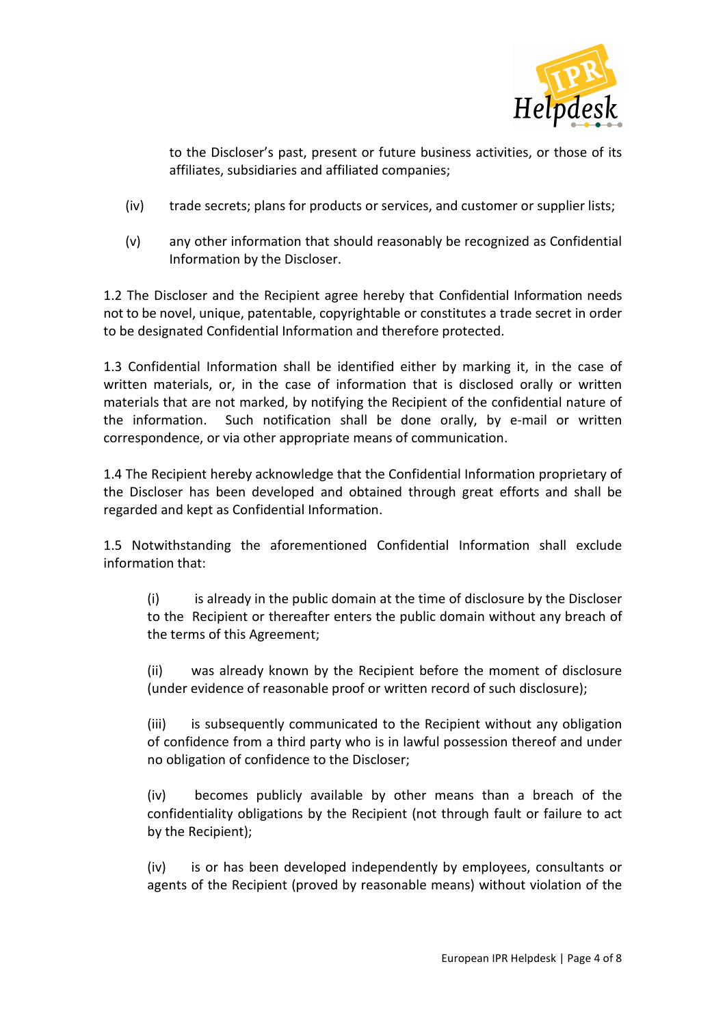

to the Discloser's past, present or future business activities, or those of its affiliates, subsidiaries and affiliated companies;

- (iv) trade secrets; plans for products or services, and customer or supplier lists;
- (v) any other information that should reasonably be recognized as Confidential Information by the Discloser.

1.2 The Discloser and the Recipient agree hereby that Confidential Information needs not to be novel, unique, patentable, copyrightable or constitutes a trade secret in order to be designated Confidential Information and therefore protected.

1.3 Confidential Information shall be identified either by marking it, in the case of written materials, or, in the case of information that is disclosed orally or written materials that are not marked, by notifying the Recipient of the confidential nature of the information. Such notification shall be done orally, by e-mail or written correspondence, or via other appropriate means of communication.

1.4 The Recipient hereby acknowledge that the Confidential Information proprietary of the Discloser has been developed and obtained through great efforts and shall be regarded and kept as Confidential Information.

1.5 Notwithstanding the aforementioned Confidential Information shall exclude information that:

(i) is already in the public domain at the time of disclosure by the Discloser to the Recipient or thereafter enters the public domain without any breach of the terms of this Agreement;

(ii) was already known by the Recipient before the moment of disclosure (under evidence of reasonable proof or written record of such disclosure);

(iii) is subsequently communicated to the Recipient without any obligation of confidence from a third party who is in lawful possession thereof and under no obligation of confidence to the Discloser;

(iv) becomes publicly available by other means than a breach of the confidentiality obligations by the Recipient (not through fault or failure to act by the Recipient);

(iv) is or has been developed independently by employees, consultants or agents of the Recipient (proved by reasonable means) without violation of the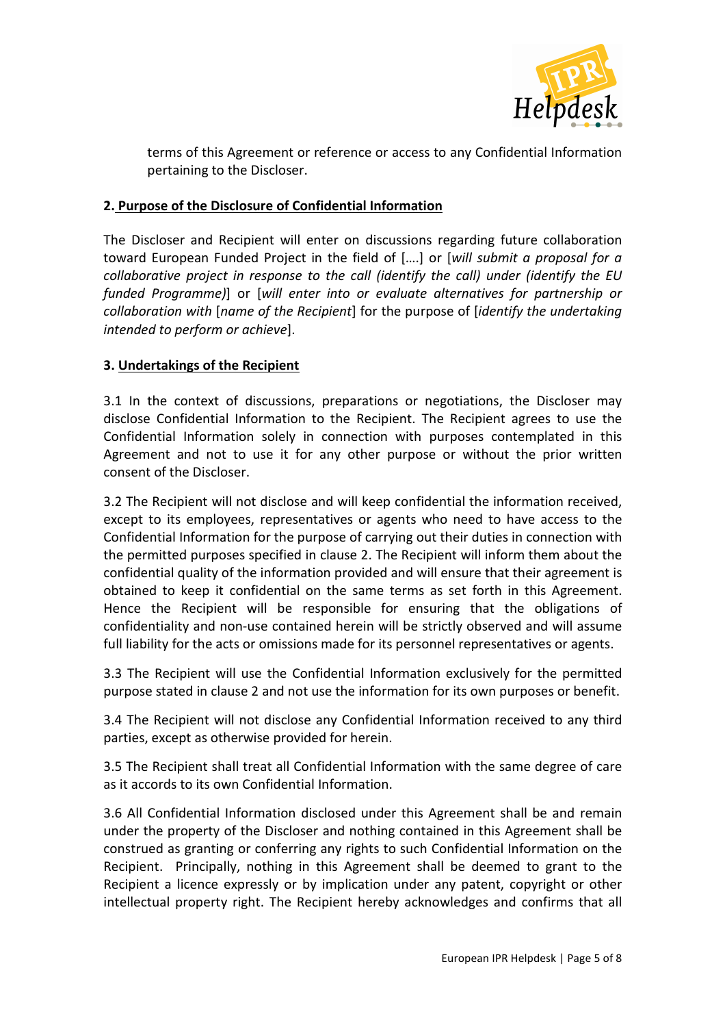

terms of this Agreement or reference or access to any Confidential Information pertaining to the Discloser.

#### **2. Purpose of the Disclosure of Confidential Information**

The Discloser and Recipient will enter on discussions regarding future collaboration toward European Funded Project in the field of [….] or [*will submit a proposal for a collaborative project in response to the call (identify the call) under (identify the EU funded Programme)*] or [*will enter into or evaluate alternatives for partnership or collaboration with* [*name of the Recipient*] for the purpose of [*identify the undertaking intended to perform or achieve*].

## **3. Undertakings of the Recipient**

3.1 In the context of discussions, preparations or negotiations, the Discloser may disclose Confidential Information to the Recipient. The Recipient agrees to use the Confidential Information solely in connection with purposes contemplated in this Agreement and not to use it for any other purpose or without the prior written consent of the Discloser.

3.2 The Recipient will not disclose and will keep confidential the information received, except to its employees, representatives or agents who need to have access to the Confidential Information for the purpose of carrying out their duties in connection with the permitted purposes specified in clause 2. The Recipient will inform them about the confidential quality of the information provided and will ensure that their agreement is obtained to keep it confidential on the same terms as set forth in this Agreement. Hence the Recipient will be responsible for ensuring that the obligations of confidentiality and non-use contained herein will be strictly observed and will assume full liability for the acts or omissions made for its personnel representatives or agents.

3.3 The Recipient will use the Confidential Information exclusively for the permitted purpose stated in clause 2 and not use the information for its own purposes or benefit.

3.4 The Recipient will not disclose any Confidential Information received to any third parties, except as otherwise provided for herein.

3.5 The Recipient shall treat all Confidential Information with the same degree of care as it accords to its own Confidential Information.

3.6 All Confidential Information disclosed under this Agreement shall be and remain under the property of the Discloser and nothing contained in this Agreement shall be construed as granting or conferring any rights to such Confidential Information on the Recipient. Principally, nothing in this Agreement shall be deemed to grant to the Recipient a licence expressly or by implication under any patent, copyright or other intellectual property right. The Recipient hereby acknowledges and confirms that all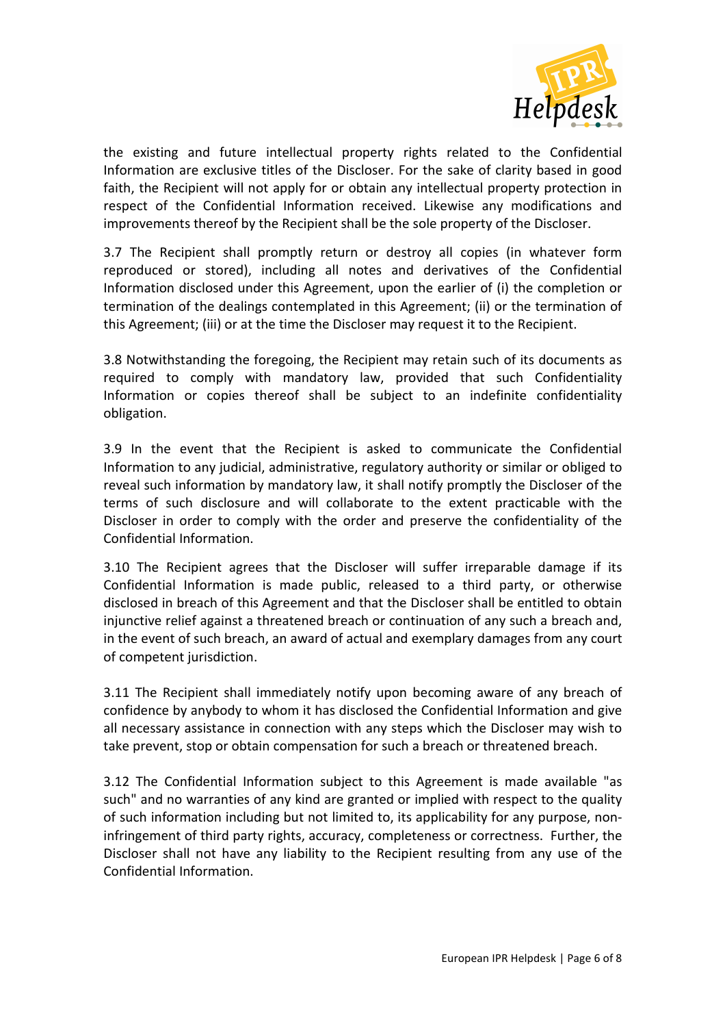

the existing and future intellectual property rights related to the Confidential Information are exclusive titles of the Discloser. For the sake of clarity based in good faith, the Recipient will not apply for or obtain any intellectual property protection in respect of the Confidential Information received. Likewise any modifications and improvements thereof by the Recipient shall be the sole property of the Discloser.

3.7 The Recipient shall promptly return or destroy all copies (in whatever form reproduced or stored), including all notes and derivatives of the Confidential Information disclosed under this Agreement, upon the earlier of (i) the completion or termination of the dealings contemplated in this Agreement; (ii) or the termination of this Agreement; (iii) or at the time the Discloser may request it to the Recipient.

3.8 Notwithstanding the foregoing, the Recipient may retain such of its documents as required to comply with mandatory law, provided that such Confidentiality Information or copies thereof shall be subject to an indefinite confidentiality obligation.

3.9 In the event that the Recipient is asked to communicate the Confidential Information to any judicial, administrative, regulatory authority or similar or obliged to reveal such information by mandatory law, it shall notify promptly the Discloser of the terms of such disclosure and will collaborate to the extent practicable with the Discloser in order to comply with the order and preserve the confidentiality of the Confidential Information.

3.10 The Recipient agrees that the Discloser will suffer irreparable damage if its Confidential Information is made public, released to a third party, or otherwise disclosed in breach of this Agreement and that the Discloser shall be entitled to obtain injunctive relief against a threatened breach or continuation of any such a breach and, in the event of such breach, an award of actual and exemplary damages from any court of competent jurisdiction.

3.11 The Recipient shall immediately notify upon becoming aware of any breach of confidence by anybody to whom it has disclosed the Confidential Information and give all necessary assistance in connection with any steps which the Discloser may wish to take prevent, stop or obtain compensation for such a breach or threatened breach.

3.12 The Confidential Information subject to this Agreement is made available "as such" and no warranties of any kind are granted or implied with respect to the quality of such information including but not limited to, its applicability for any purpose, noninfringement of third party rights, accuracy, completeness or correctness. Further, the Discloser shall not have any liability to the Recipient resulting from any use of the Confidential Information.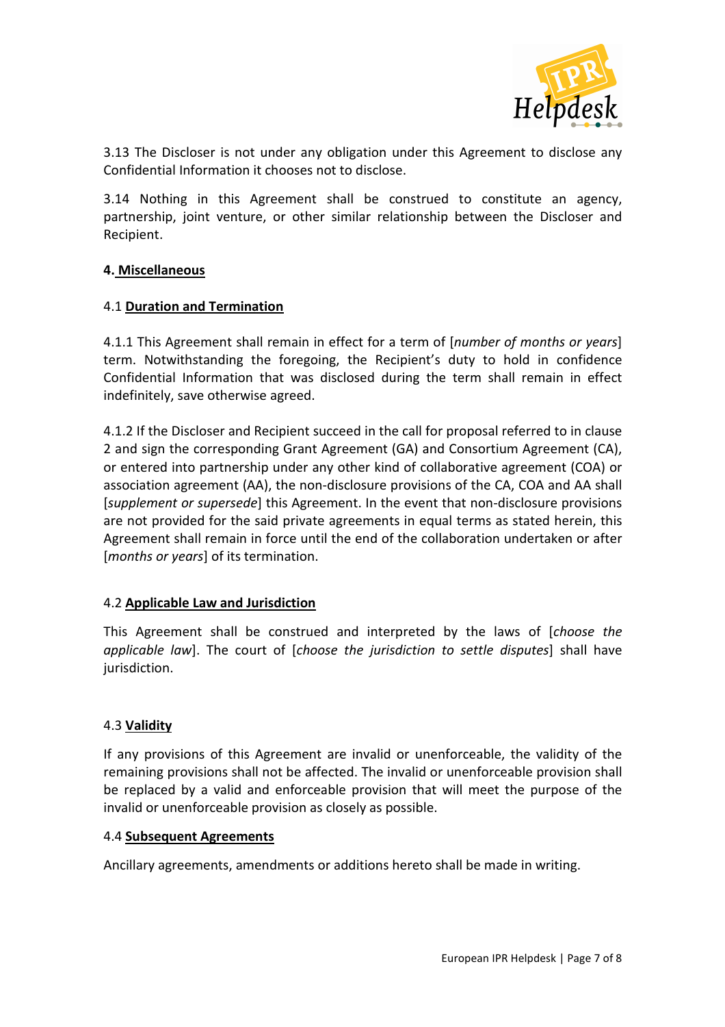

3.13 The Discloser is not under any obligation under this Agreement to disclose any Confidential Information it chooses not to disclose.

3.14 Nothing in this Agreement shall be construed to constitute an agency, partnership, joint venture, or other similar relationship between the Discloser and Recipient.

#### **4. Miscellaneous**

#### 4.1 **Duration and Termination**

4.1.1 This Agreement shall remain in effect for a term of [*number of months or years*] term. Notwithstanding the foregoing, the Recipient's duty to hold in confidence Confidential Information that was disclosed during the term shall remain in effect indefinitely, save otherwise agreed.

4.1.2 If the Discloser and Recipient succeed in the call for proposal referred to in clause 2 and sign the corresponding Grant Agreement (GA) and Consortium Agreement (CA), or entered into partnership under any other kind of collaborative agreement (COA) or association agreement (AA), the non-disclosure provisions of the CA, COA and AA shall [*supplement or supersede*] this Agreement. In the event that non-disclosure provisions are not provided for the said private agreements in equal terms as stated herein, this Agreement shall remain in force until the end of the collaboration undertaken or after [*months or years*] of its termination.

## 4.2 **Applicable Law and Jurisdiction**

This Agreement shall be construed and interpreted by the laws of [*choose the applicable law*]. The court of [*choose the jurisdiction to settle disputes*] shall have jurisdiction.

#### 4.3 **Validity**

If any provisions of this Agreement are invalid or unenforceable, the validity of the remaining provisions shall not be affected. The invalid or unenforceable provision shall be replaced by a valid and enforceable provision that will meet the purpose of the invalid or unenforceable provision as closely as possible.

#### 4.4 **Subsequent Agreements**

Ancillary agreements, amendments or additions hereto shall be made in writing.